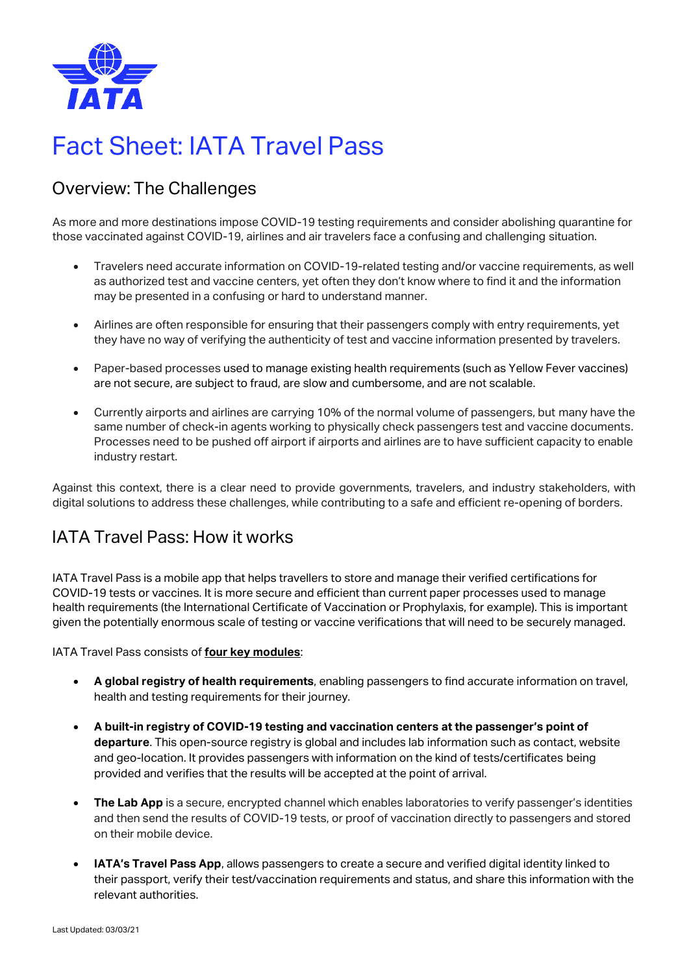

# Fact Sheet: IATA Travel Pass

# Overview: The Challenges

As more and more destinations impose COVID-19 testing requirements and consider abolishing quarantine for those vaccinated against COVID-19, airlines and air travelers face a confusing and challenging situation.

- Travelers need accurate information on COVID-19-related testing and/or vaccine requirements, as well as authorized test and vaccine centers, yet often they don't know where to find it and the information may be presented in a confusing or hard to understand manner.
- Airlines are often responsible for ensuring that their passengers comply with entry requirements, yet they have no way of verifying the authenticity of test and vaccine information presented by travelers.
- Paper-based processes used to manage existing health requirements (such as Yellow Fever vaccines) are not secure, are subject to fraud, are slow and cumbersome, and are not scalable.
- Currently airports and airlines are carrying 10% of the normal volume of passengers, but many have the same number of check-in agents working to physically check passengers test and vaccine documents. Processes need to be pushed off airport if airports and airlines are to have sufficient capacity to enable industry restart.

Against this context, there is a clear need to provide governments, travelers, and industry stakeholders, with digital solutions to address these challenges, while contributing to a safe and efficient re-opening of borders.

# IATA Travel Pass: How it works

IATA Travel Pass is a mobile app that helps travellers to store and manage their verified certifications for COVID-19 tests or vaccines. It is more secure and efficient than current paper processes used to manage health requirements (the International Certificate of Vaccination or Prophylaxis, for example). This is important given the potentially enormous scale of testing or vaccine verifications that will need to be securely managed.

IATA Travel Pass consists of **four key modules**:

- **A global registry of health requirements**, enabling passengers to find accurate information on travel, health and testing requirements for their journey.
- **A built-in registry of COVID-19 testing and vaccination centers at the passenger's point of departure**. This open-source registry is global and includes lab information such as contact, website and geo-location. It provides passengers with information on the kind of tests/certificates being provided and verifies that the results will be accepted at the point of arrival.
- **The Lab App** is a secure, encrypted channel which enables laboratories to verify passenger's identities and then send the results of COVID-19 tests, or proof of vaccination directly to passengers and stored on their mobile device.
- **IATA's Travel Pass App**, allows passengers to create a secure and verified digital identity linked to their passport, verify their test/vaccination requirements and status, and share this information with the relevant authorities.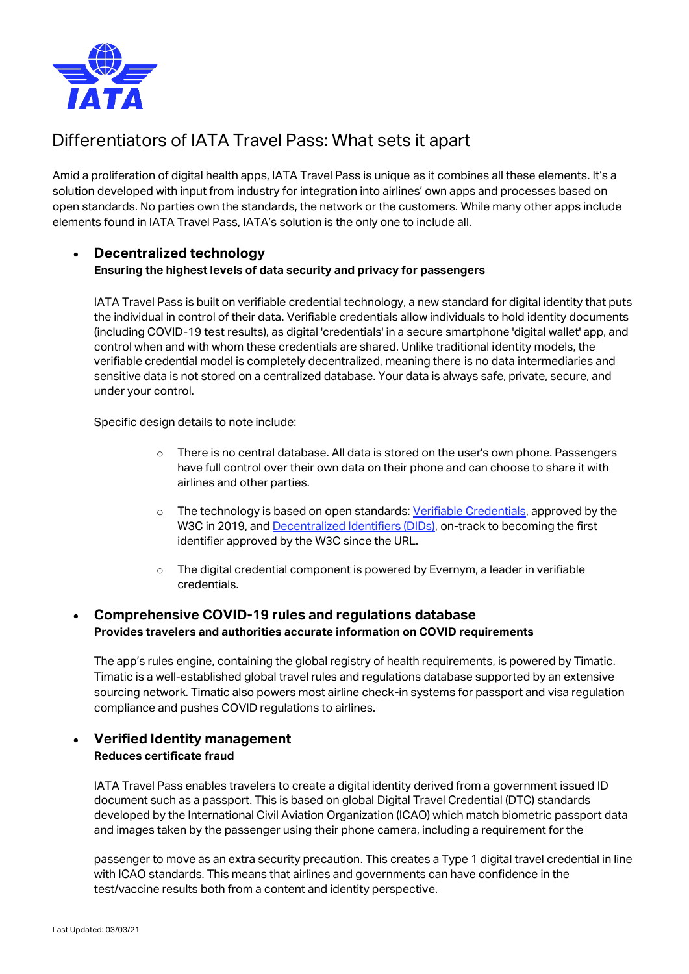

# Differentiators of IATA Travel Pass: What sets it apart

Amid a proliferation of digital health apps, IATA Travel Pass is unique as it combines all these elements. It's a solution developed with input from industry for integration into airlines' own apps and processes based on open standards. No parties own the standards, the network or the customers. While many other apps include elements found in IATA Travel Pass, IATA's solution is the only one to include all.

#### • **Decentralized technology Ensuring the highest levels of data security and privacy for passengers**

IATA Travel Pass is built on verifiable credential technology, a new standard for digital identity that puts the individual in control of their data. Verifiable credentials allow individuals to hold identity documents (including COVID-19 test results), as digital 'credentials' in a secure smartphone 'digital wallet' app, and control when and with whom these credentials are shared. Unlike traditional identity models, the verifiable credential model is completely decentralized, meaning there is no data intermediaries and sensitive data is not stored on a centralized database. Your data is always safe, private, secure, and under your control.

Specific design details to note include:

- $\circ$  There is no central database. All data is stored on the user's own phone. Passengers have full control over their own data on their phone and can choose to share it with airlines and other parties.
- o The technology is based on open standards: [Verifiable Credentials,](https://eur01.safelinks.protection.outlook.com/?url=https%3A%2F%2Fwww.w3.org%2FTR%2Fvc-data-model%2F&data=04%7C01%7Ckaczynskak%40iata.org%7C9498e200f7f645c9af7708d8daac3d62%7Cad22178472a84263ac860ccc6b152cd8%7C0%7C0%7C637499780600079663%7CUnknown%7CTWFpbGZsb3d8eyJWIjoiMC4wLjAwMDAiLCJQIjoiV2luMzIiLCJBTiI6Ik1haWwiLCJXVCI6Mn0%3D%7C1000&sdata=SiptJ9S9FnSZ0mz0FLOtTop%2BQkvOoG84Peb3MaxTk6o%3D&reserved=0) approved by the W3C in 2019, an[d Decentralized Identifiers \(DIDs\),](https://eur01.safelinks.protection.outlook.com/?url=https%3A%2F%2Fwww.w3.org%2FTR%2Fdid-core%2F&data=04%7C01%7Ckaczynskak%40iata.org%7C9498e200f7f645c9af7708d8daac3d62%7Cad22178472a84263ac860ccc6b152cd8%7C0%7C0%7C637499780600079663%7CUnknown%7CTWFpbGZsb3d8eyJWIjoiMC4wLjAwMDAiLCJQIjoiV2luMzIiLCJBTiI6Ik1haWwiLCJXVCI6Mn0%3D%7C1000&sdata=1bqRLu0NUzemEnzm0un70oZ70wIoEoyhPFiBqmRqwFI%3D&reserved=0) on-track to becoming the first identifier approved by the W3C since the URL.
- $\circ$  The digital credential component is powered by Evernym, a leader in verifiable credentials.

### • **Comprehensive COVID-19 rules and regulations database Provides travelers and authorities accurate information on COVID requirements**

The app's rules engine, containing the global registry of health requirements, is powered by Timatic. Timatic is a well-established global travel rules and regulations database supported by an extensive sourcing network. Timatic also powers most airline check-in systems for passport and visa regulation compliance and pushes COVID regulations to airlines.

### • **Verified Identity management Reduces certificate fraud**

IATA Travel Pass enables travelers to create a digital identity derived from a government issued ID document such as a passport. This is based on global Digital Travel Credential (DTC) standards developed by the International Civil Aviation Organization (ICAO) which match biometric passport data and images taken by the passenger using their phone camera, including a requirement for the

passenger to move as an extra security precaution. This creates a Type 1 digital travel credential in line with ICAO standards. This means that airlines and governments can have confidence in the test/vaccine results both from a content and identity perspective.